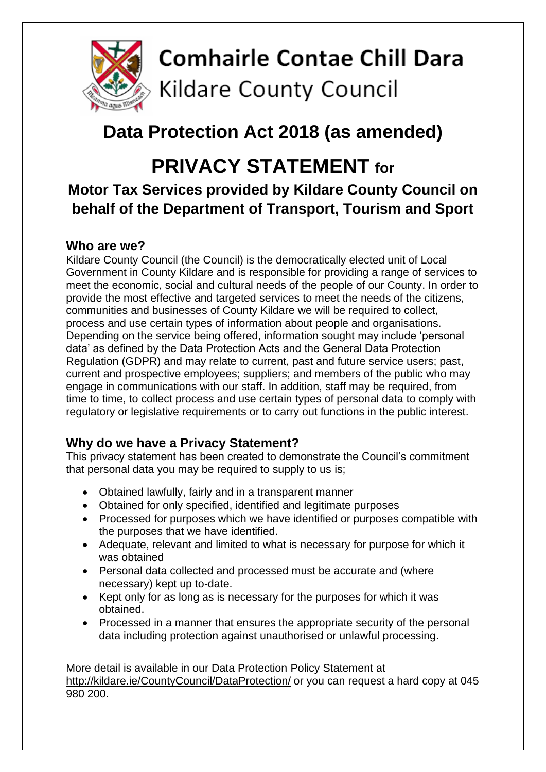

### **Data Protection Act 2018 (as amended)**

## **PRIVACY STATEMENT for**

### **Motor Tax Services provided by Kildare County Council on behalf of the Department of Transport, Tourism and Sport**

#### **Who are we?**

Kildare County Council (the Council) is the democratically elected unit of Local Government in County Kildare and is responsible for providing a range of services to meet the economic, social and cultural needs of the people of our County. In order to provide the most effective and targeted services to meet the needs of the citizens, communities and businesses of County Kildare we will be required to collect, process and use certain types of information about people and organisations. Depending on the service being offered, information sought may include 'personal data' as defined by the Data Protection Acts and the General Data Protection Regulation (GDPR) and may relate to current, past and future service users; past, current and prospective employees; suppliers; and members of the public who may engage in communications with our staff. In addition, staff may be required, from time to time, to collect process and use certain types of personal data to comply with regulatory or legislative requirements or to carry out functions in the public interest.

#### **Why do we have a Privacy Statement?**

This privacy statement has been created to demonstrate the Council's commitment that personal data you may be required to supply to us is;

- Obtained lawfully, fairly and in a transparent manner
- Obtained for only specified, identified and legitimate purposes
- Processed for purposes which we have identified or purposes compatible with the purposes that we have identified.
- Adequate, relevant and limited to what is necessary for purpose for which it was obtained
- Personal data collected and processed must be accurate and (where necessary) kept up to-date.
- Kept only for as long as is necessary for the purposes for which it was obtained.
- Processed in a manner that ensures the appropriate security of the personal data including protection against unauthorised or unlawful processing.

More detail is available in our Data Protection Policy Statement at <http://kildare.ie/CountyCouncil/DataProtection/> or you can request a hard copy at 045 980 200.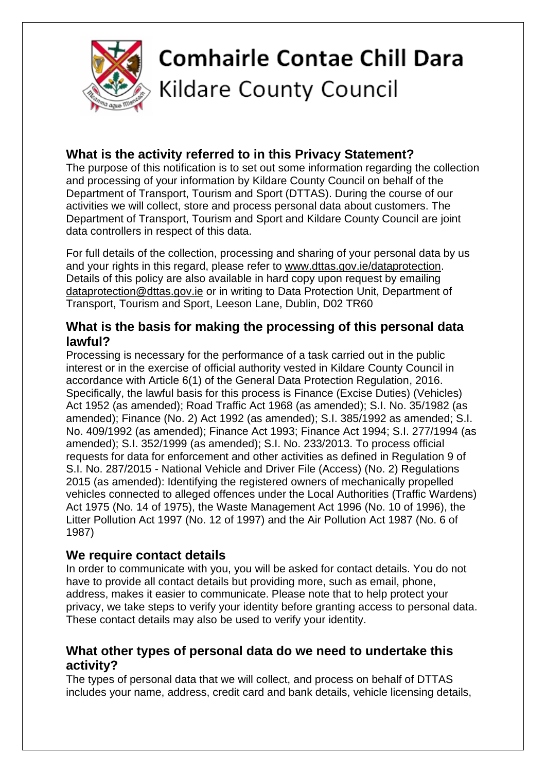

#### **What is the activity referred to in this Privacy Statement?**

The purpose of this notification is to set out some information regarding the collection and processing of your information by Kildare County Council on behalf of the Department of Transport, Tourism and Sport (DTTAS). During the course of our activities we will collect, store and process personal data about customers. The Department of Transport, Tourism and Sport and Kildare County Council are joint data controllers in respect of this data.

For full details of the collection, processing and sharing of your personal data by us and your rights in this regard, please refer to [www.dttas.gov.ie/dataprotection.](http://www.dttas.gov.ie/dataprotection) Details of this policy are also available in hard copy upon request by emailing [dataprotection@dttas.gov.ie](mailto:dataprotection@dttas.gov.ie) or in writing to Data Protection Unit, Department of Transport, Tourism and Sport, Leeson Lane, Dublin, D02 TR60

#### **What is the basis for making the processing of this personal data lawful?**

Processing is necessary for the performance of a task carried out in the public interest or in the exercise of official authority vested in Kildare County Council in accordance with Article 6(1) of the General Data Protection Regulation, 2016. Specifically, the lawful basis for this process is Finance (Excise Duties) (Vehicles) Act 1952 (as amended); Road Traffic Act 1968 (as amended); S.I. No. 35/1982 (as amended); Finance (No. 2) Act 1992 (as amended); S.I. 385/1992 as amended; S.I. No. 409/1992 (as amended); Finance Act 1993; Finance Act 1994; S.I. 277/1994 (as amended); S.I. 352/1999 (as amended); S.I. No. 233/2013. To process official requests for data for enforcement and other activities as defined in Regulation 9 of S.I. No. 287/2015 - National Vehicle and Driver File (Access) (No. 2) Regulations 2015 (as amended): Identifying the registered owners of mechanically propelled vehicles connected to alleged offences under the Local Authorities (Traffic Wardens) Act 1975 (No. 14 of 1975), the Waste Management Act 1996 (No. 10 of 1996), the Litter Pollution Act 1997 (No. 12 of 1997) and the Air Pollution Act 1987 (No. 6 of 1987)

#### **We require contact details**

In order to communicate with you, you will be asked for contact details. You do not have to provide all contact details but providing more, such as email, phone, address, makes it easier to communicate. Please note that to help protect your privacy, we take steps to verify your identity before granting access to personal data. These contact details may also be used to verify your identity.

#### **What other types of personal data do we need to undertake this activity?**

The types of personal data that we will collect, and process on behalf of DTTAS includes your name, address, credit card and bank details, vehicle licensing details,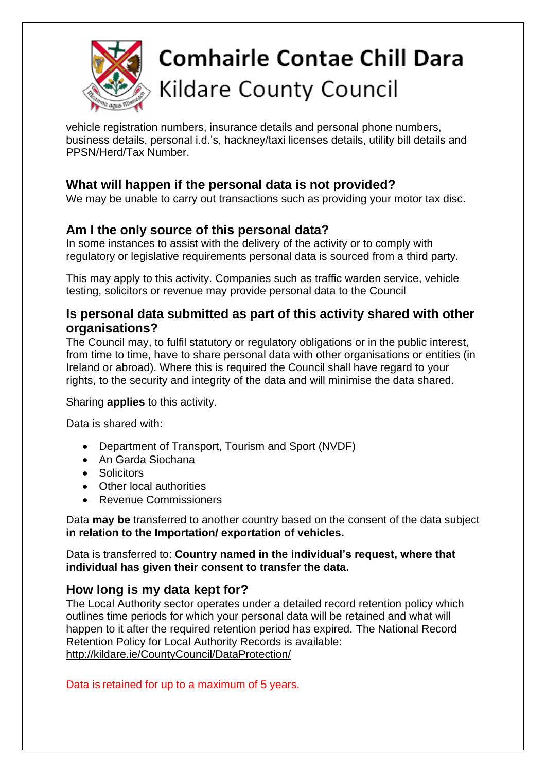

# **Comhairle Contae Chill Dara** Kildare County Council

vehicle registration numbers, insurance details and personal phone numbers, business details, personal i.d.'s, hackney/taxi licenses details, utility bill details and PPSN/Herd/Tax Number.

#### **What will happen if the personal data is not provided?**

We may be unable to carry out transactions such as providing your motor tax disc.

#### **Am I the only source of this personal data?**

In some instances to assist with the delivery of the activity or to comply with regulatory or legislative requirements personal data is sourced from a third party.

This may apply to this activity. Companies such as traffic warden service, vehicle testing, solicitors or revenue may provide personal data to the Council

#### **Is personal data submitted as part of this activity shared with other organisations?**

The Council may, to fulfil statutory or regulatory obligations or in the public interest, from time to time, have to share personal data with other organisations or entities (in Ireland or abroad). Where this is required the Council shall have regard to your rights, to the security and integrity of the data and will minimise the data shared.

Sharing **applies** to this activity.

Data is shared with:

- Department of Transport, Tourism and Sport (NVDF)
- An Garda Siochana
- Solicitors
- Other local authorities
- Revenue Commissioners

Data **may be** transferred to another country based on the consent of the data subject **in relation to the Importation/ exportation of vehicles.**

Data is transferred to: **Country named in the individual's request, where that individual has given their consent to transfer the data.**

#### **How long is my data kept for?**

The Local Authority sector operates under a detailed record retention policy which outlines time periods for which your personal data will be retained and what will happen to it after the required retention period has expired. The National Record Retention Policy for Local Authority Records is available: <http://kildare.ie/CountyCouncil/DataProtection/>

Data is retained for up to a maximum of 5 years.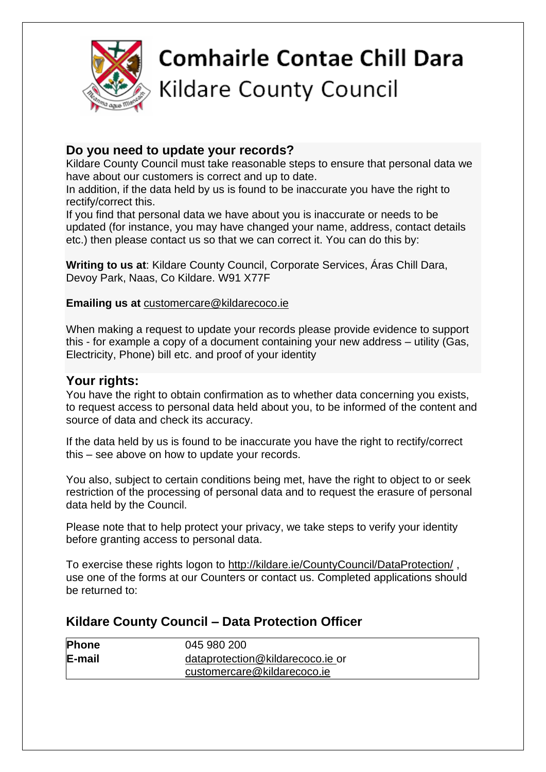

#### **Do you need to update your records?**

Kildare County Council must take reasonable steps to ensure that personal data we have about our customers is correct and up to date.

In addition, if the data held by us is found to be inaccurate you have the right to rectify/correct this.

If you find that personal data we have about you is inaccurate or needs to be updated (for instance, you may have changed your name, address, contact details etc.) then please contact us so that we can correct it. You can do this by:

**Writing to us at**: Kildare County Council, Corporate Services, Áras Chill Dara, Devoy Park, Naas, Co Kildare. W91 X77F

#### **Emailing us at** [customercare@kildarecoco.ie](mailto:customercare@kildarecoco.ie)

When making a request to update your records please provide evidence to support this - for example a copy of a document containing your new address – utility (Gas, Electricity, Phone) bill etc. and proof of your identity

#### **Your rights:**

You have the right to obtain confirmation as to whether data concerning you exists, to request access to personal data held about you, to be informed of the content and source of data and check its accuracy.

If the data held by us is found to be inaccurate you have the right to rectify/correct this – see above on how to update your records.

You also, subject to certain conditions being met, have the right to object to or seek restriction of the processing of personal data and to request the erasure of personal data held by the Council.

Please note that to help protect your privacy, we take steps to verify your identity before granting access to personal data.

To exercise these rights logon to<http://kildare.ie/CountyCouncil/DataProtection/> , use one of the forms at our Counters or contact us. Completed applications should be returned to:

#### **Kildare County Council – Data Protection Officer**

| <b>Phone</b> | 045 980 200                      |
|--------------|----------------------------------|
| E-mail       | dataprotection@kildarecoco.ie or |
|              | customercare@kildarecoco.ie      |